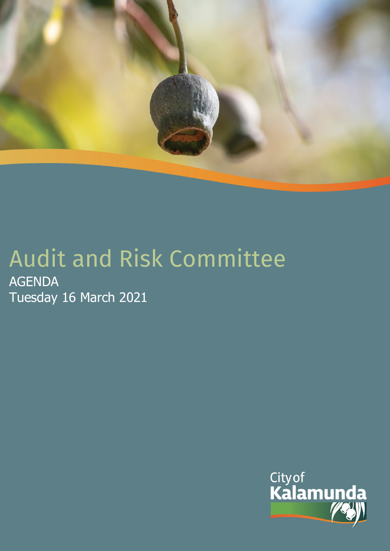

# Audit and Risk Committee AGENDA Tuesday 16 March 2021

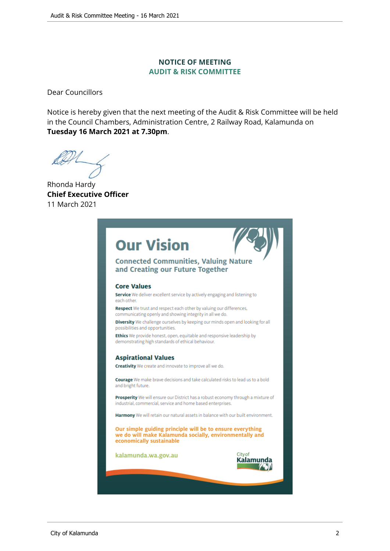## **NOTICE OF MEETING AUDIT & RISK COMMITTEE**

Dear Councillors

Notice is hereby given that the next meeting of the Audit & Risk Committee will be held in the Council Chambers, Administration Centre, 2 Railway Road, Kalamunda on **Tuesday 16 March 2021 at 7.30pm**.

Rhonda Hardy **Chief Executive Officer** 11 March 2021

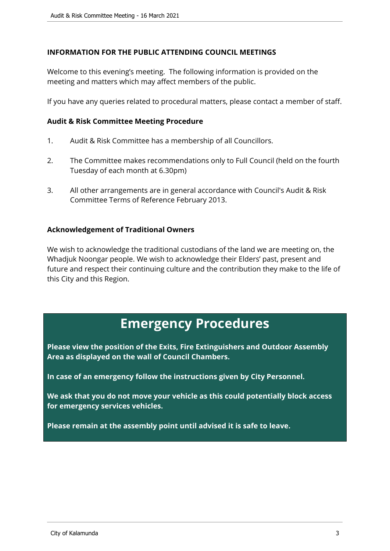## **INFORMATION FOR THE PUBLIC ATTENDING COUNCIL MEETINGS**

Welcome to this evening's meeting. The following information is provided on the meeting and matters which may affect members of the public.

If you have any queries related to procedural matters, please contact a member of staff.

#### **Audit & Risk Committee Meeting Procedure**

- 1. Audit & Risk Committee has a membership of all Councillors.
- 2. The Committee makes recommendations only to Full Council (held on the fourth Tuesday of each month at 6.30pm)
- 3. All other arrangements are in general accordance with Council's Audit & Risk Committee Terms of Reference February 2013.

#### **Acknowledgement of Traditional Owners**

We wish to acknowledge the traditional custodians of the land we are meeting on, the Whadjuk Noongar people. We wish to acknowledge their Elders' past, present and future and respect their continuing culture and the contribution they make to the life of this City and this Region.

## **Emergency Procedures**

**Please view the position of the Exits, Fire Extinguishers and Outdoor Assembly Area as displayed on the wall of Council Chambers.**

**In case of an emergency follow the instructions given by City Personnel.** 

**We ask that you do not move your vehicle as this could potentially block access for emergency services vehicles.** 

**Please remain at the assembly point until advised it is safe to leave.**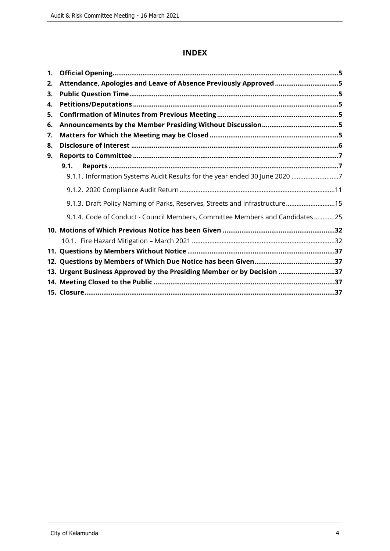## **INDEX**

| 1. |                                                                              |  |
|----|------------------------------------------------------------------------------|--|
| 2. | Attendance, Apologies and Leave of Absence Previously Approved 5             |  |
| 3. |                                                                              |  |
| 4. |                                                                              |  |
| 5. |                                                                              |  |
| 6. |                                                                              |  |
| 7. |                                                                              |  |
| 8. |                                                                              |  |
| 9. |                                                                              |  |
|    | 9.1.                                                                         |  |
|    | 9.1.1. Information Systems Audit Results for the year ended 30 June 2020 7   |  |
|    |                                                                              |  |
|    | 9.1.3. Draft Policy Naming of Parks, Reserves, Streets and Infrastructure15  |  |
|    | 9.1.4. Code of Conduct - Council Members, Committee Members and Candidates25 |  |
|    |                                                                              |  |
|    |                                                                              |  |
|    |                                                                              |  |
|    |                                                                              |  |
|    | 13. Urgent Business Approved by the Presiding Member or by Decision 37       |  |
|    |                                                                              |  |
|    |                                                                              |  |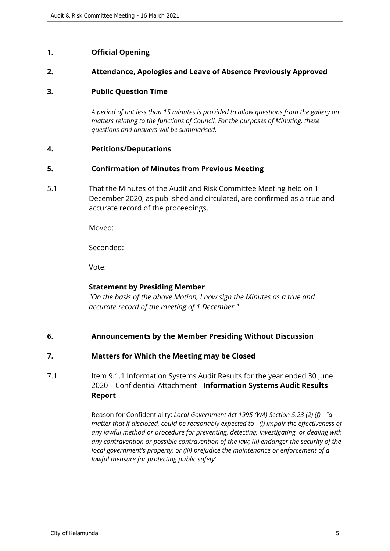## <span id="page-4-0"></span>**1. Official Opening**

#### <span id="page-4-1"></span>**2. Attendance, Apologies and Leave of Absence Previously Approved**

#### <span id="page-4-2"></span>**3. Public Question Time**

*A period of not less than 15 minutes is provided to allow questions from the gallery on matters relating to the functions of Council. For the purposes of Minuting, these questions and answers will be summarised.*

#### <span id="page-4-3"></span>**4. Petitions/Deputations**

#### <span id="page-4-4"></span>**5. Confirmation of Minutes from Previous Meeting**

5.1 That the Minutes of the Audit and Risk Committee Meeting held on 1 December 2020, as published and circulated, are confirmed as a true and accurate record of the proceedings.

Moved:

Seconded:

Vote:

#### **Statement by Presiding Member**

*"On the basis of the above Motion, I now sign the Minutes as a true and accurate record of the meeting of 1 December."*

#### <span id="page-4-5"></span>**6. Announcements by the Member Presiding Without Discussion**

#### <span id="page-4-6"></span>**7. Matters for Which the Meeting may be Closed**

7.1 Item 9.1.1 Information Systems Audit Results for the year ended 30 June 2020 – Confidential Attachment - **Information Systems Audit Results Report**

> Reason for Confidentiality: *Local Government Act 1995 (WA) Section 5.23 (2) (f) - "a matter that if disclosed, could be reasonably expected to - (i) impair the effectiveness of any lawful method or procedure for preventing, detecting, investigating or dealing with any contravention or possible contravention of the law; (ii) endanger the security of the local government's property; or (iii) prejudice the maintenance or enforcement of a lawful measure for protecting public safety"*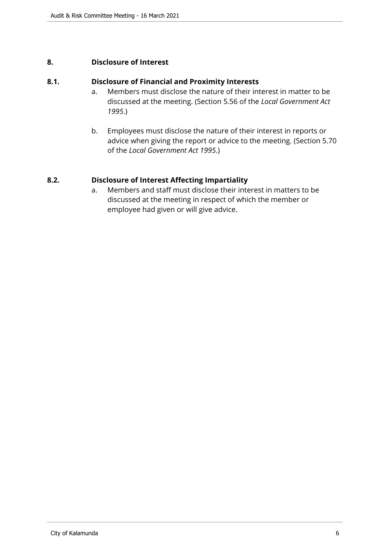## <span id="page-5-0"></span>**8. Disclosure of Interest**

#### **8.1. Disclosure of Financial and Proximity Interests**

- a. Members must disclose the nature of their interest in matter to be discussed at the meeting. (Section 5.56 of the *Local Government Act 1995*.)
- b. Employees must disclose the nature of their interest in reports or advice when giving the report or advice to the meeting. (Section 5.70 of the *Local Government Act 1995*.)

## **8.2. Disclosure of Interest Affecting Impartiality**

a. Members and staff must disclose their interest in matters to be discussed at the meeting in respect of which the member or employee had given or will give advice.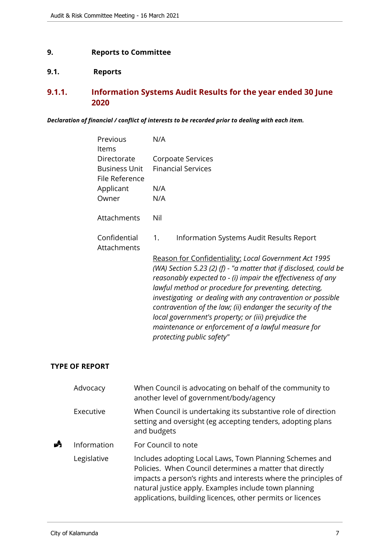## <span id="page-6-0"></span>**9. Reports to Committee**

## <span id="page-6-1"></span>**9.1. Reports**

## <span id="page-6-2"></span>**9.1.1. Information Systems Audit Results for the year ended 30 June 2020**

#### *Declaration of financial / conflict of interests to be recorded prior to dealing with each item.*

| Previous                               | N/A                                                                                                                                                                                                                                                                                                                                                                                                                                                                                                                         |
|----------------------------------------|-----------------------------------------------------------------------------------------------------------------------------------------------------------------------------------------------------------------------------------------------------------------------------------------------------------------------------------------------------------------------------------------------------------------------------------------------------------------------------------------------------------------------------|
| Items                                  |                                                                                                                                                                                                                                                                                                                                                                                                                                                                                                                             |
| Directorate                            | Corpoate Services                                                                                                                                                                                                                                                                                                                                                                                                                                                                                                           |
| <b>Business Unit</b><br>File Reference | <b>Financial Services</b>                                                                                                                                                                                                                                                                                                                                                                                                                                                                                                   |
| Applicant                              | N/A                                                                                                                                                                                                                                                                                                                                                                                                                                                                                                                         |
| Owner                                  | N/A                                                                                                                                                                                                                                                                                                                                                                                                                                                                                                                         |
| Attachments                            | Nil                                                                                                                                                                                                                                                                                                                                                                                                                                                                                                                         |
| Confidential<br>Attachments            | Information Systems Audit Results Report<br>1.                                                                                                                                                                                                                                                                                                                                                                                                                                                                              |
|                                        | Reason for Confidentiality: Local Government Act 1995<br>(WA) Section 5.23 (2) (f) - "a matter that if disclosed, could be<br>reasonably expected to - (i) impair the effectiveness of any<br>lawful method or procedure for preventing, detecting,<br>investigating or dealing with any contravention or possible<br>contravention of the law; (ii) endanger the security of the<br>local government's property; or (iii) prejudice the<br>maintenance or enforcement of a lawful measure for<br>protecting public safety" |

#### **TYPE OF REPORT**

|   | Advocacy    | When Council is advocating on behalf of the community to<br>another level of government/body/agency                                                                                                                                                                                                           |
|---|-------------|---------------------------------------------------------------------------------------------------------------------------------------------------------------------------------------------------------------------------------------------------------------------------------------------------------------|
|   | Executive   | When Council is undertaking its substantive role of direction<br>setting and oversight (eg accepting tenders, adopting plans<br>and budgets                                                                                                                                                                   |
| ┻ | Information | For Council to note                                                                                                                                                                                                                                                                                           |
|   | Legislative | Includes adopting Local Laws, Town Planning Schemes and<br>Policies. When Council determines a matter that directly<br>impacts a person's rights and interests where the principles of<br>natural justice apply. Examples include town planning<br>applications, building licences, other permits or licences |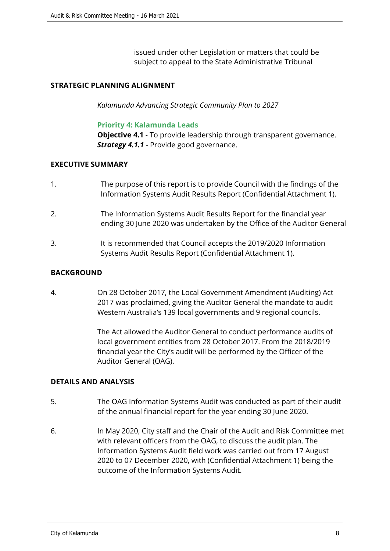issued under other Legislation or matters that could be subject to appeal to the State Administrative Tribunal

#### **STRATEGIC PLANNING ALIGNMENT**

*Kalamunda Advancing Strategic Community Plan to 2027*

#### **Priority 4: Kalamunda Leads**

**Objective 4.1** - To provide leadership through transparent governance. *Strategy 4.1.1* - Provide good governance.

#### **EXECUTIVE SUMMARY**

- 1. The purpose of this report is to provide Council with the findings of the Information Systems Audit Results Report (Confidential Attachment 1).
- 2. The Information Systems Audit Results Report for the financial year ending 30 June 2020 was undertaken by the Office of the Auditor General
- 3. It is recommended that Council accepts the 2019/2020 Information Systems Audit Results Report (Confidential Attachment 1).

#### **BACKGROUND**

4. On 28 October 2017, the Local Government Amendment (Auditing) Act 2017 was proclaimed, giving the Auditor General the mandate to audit Western Australia's 139 local governments and 9 regional councils.

> The Act allowed the Auditor General to conduct performance audits of local government entities from 28 October 2017. From the 2018/2019 financial year the City's audit will be performed by the Officer of the Auditor General (OAG).

#### **DETAILS AND ANALYSIS**

- 5. The OAG Information Systems Audit was conducted as part of their audit of the annual financial report for the year ending 30 June 2020.
- 6. In May 2020, City staff and the Chair of the Audit and Risk Committee met with relevant officers from the OAG, to discuss the audit plan. The Information Systems Audit field work was carried out from 17 August 2020 to 07 December 2020, with (Confidential Attachment 1) being the outcome of the Information Systems Audit.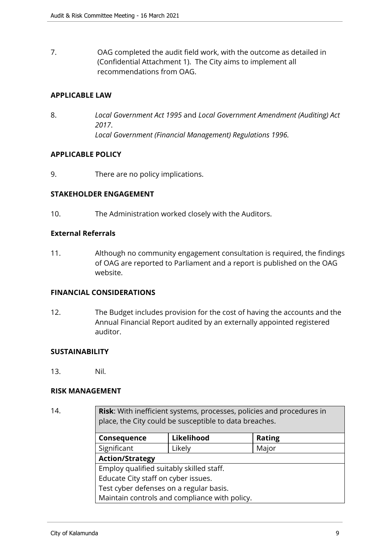7. OAG completed the audit field work, with the outcome as detailed in (Confidential Attachment 1). The City aims to implement all recommendations from OAG.

#### **APPLICABLE LAW**

8. *Local Government Act 1995* and *Local Government Amendment (Auditing) Act 2017*. *Local Government (Financial Management) Regulations 1996.*

## **APPLICABLE POLICY**

9. There are no policy implications.

#### **STAKEHOLDER ENGAGEMENT**

10. The Administration worked closely with the Auditors.

#### **External Referrals**

11. Although no community engagement consultation is required, the findings of OAG are reported to Parliament and a report is published on the OAG website.

#### **FINANCIAL CONSIDERATIONS**

12. The Budget includes provision for the cost of having the accounts and the Annual Financial Report audited by an externally appointed registered auditor.

#### **SUSTAINABILITY**

13. Nil.

#### **RISK MANAGEMENT**

14. **Risk**: With inefficient systems, processes, policies and procedures in place, the City could be susceptible to data breaches.

| Consequence                                   | Likelihood | <b>Rating</b> |  |  |
|-----------------------------------------------|------------|---------------|--|--|
| Significant                                   | Likely     | Major         |  |  |
| <b>Action/Strategy</b>                        |            |               |  |  |
| Employ qualified suitably skilled staff.      |            |               |  |  |
| Educate City staff on cyber issues.           |            |               |  |  |
| Test cyber defenses on a regular basis.       |            |               |  |  |
| Maintain controls and compliance with policy. |            |               |  |  |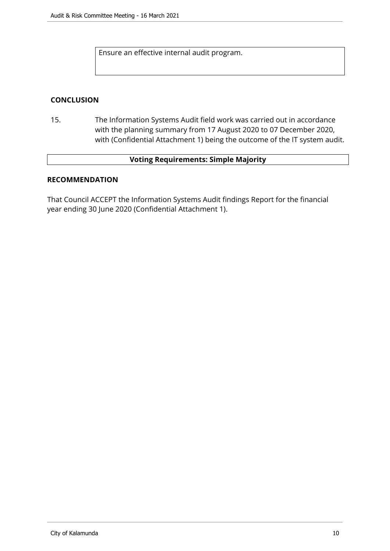Ensure an effective internal audit program.

#### **CONCLUSION**

15. The Information Systems Audit field work was carried out in accordance with the planning summary from 17 August 2020 to 07 December 2020, with (Confidential Attachment 1) being the outcome of the IT system audit.

## **Voting Requirements: Simple Majority**

#### **RECOMMENDATION**

That Council ACCEPT the Information Systems Audit findings Report for the financial year ending 30 June 2020 (Confidential Attachment 1).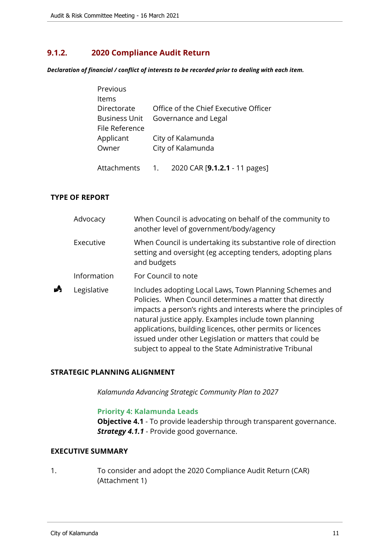## <span id="page-10-0"></span>**9.1.2. 2020 Compliance Audit Return**

*Declaration of financial / conflict of interests to be recorded prior to dealing with each item.*

| Previous             |                                       |
|----------------------|---------------------------------------|
| Items                |                                       |
| Directorate          | Office of the Chief Executive Officer |
| <b>Business Unit</b> | Governance and Legal                  |
| File Reference       |                                       |
| Applicant            | City of Kalamunda                     |
| Owner                | City of Kalamunda                     |
|                      |                                       |

## Attachments 1. 2020 CAR [**9.1.2.1** - 11 pages]

## **TYPE OF REPORT**

| Advocacy    | When Council is advocating on behalf of the community to<br>another level of government/body/agency                                                                                                                                                                                                                                                                                                                                |
|-------------|------------------------------------------------------------------------------------------------------------------------------------------------------------------------------------------------------------------------------------------------------------------------------------------------------------------------------------------------------------------------------------------------------------------------------------|
| Executive   | When Council is undertaking its substantive role of direction<br>setting and oversight (eg accepting tenders, adopting plans<br>and budgets                                                                                                                                                                                                                                                                                        |
| Information | For Council to note                                                                                                                                                                                                                                                                                                                                                                                                                |
| Legislative | Includes adopting Local Laws, Town Planning Schemes and<br>Policies. When Council determines a matter that directly<br>impacts a person's rights and interests where the principles of<br>natural justice apply. Examples include town planning<br>applications, building licences, other permits or licences<br>issued under other Legislation or matters that could be<br>subject to appeal to the State Administrative Tribunal |

#### **STRATEGIC PLANNING ALIGNMENT**

*Kalamunda Advancing Strategic Community Plan to 2027*

#### **Priority 4: Kalamunda Leads**

**Objective 4.1** - To provide leadership through transparent governance. **Strategy 4.1.1** - Provide good governance.

## **EXECUTIVE SUMMARY**

1. To consider and adopt the 2020 Compliance Audit Return (CAR) (Attachment 1)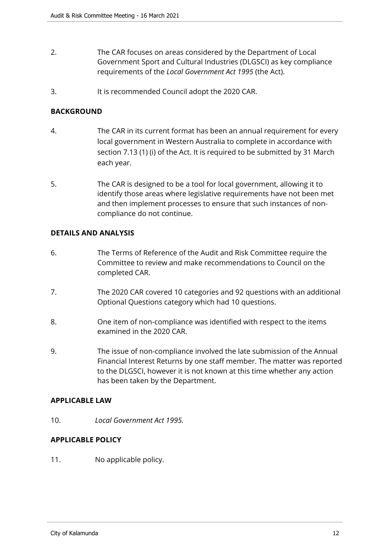- 2. The CAR focuses on areas considered by the Department of Local Government Sport and Cultural Industries (DLGSCI) as key compliance requirements of the *Local Government Act 1995* (the Act).
- 3. It is recommended Council adopt the 2020 CAR.

## **BACKGROUND**

- 4. The CAR in its current format has been an annual requirement for every local government in Western Australia to complete in accordance with section 7.13 (1) (i) of the Act. It is required to be submitted by 31 March each year.
- 5. The CAR is designed to be a tool for local government, allowing it to identify those areas where legislative requirements have not been met and then implement processes to ensure that such instances of noncompliance do not continue.

## **DETAILS AND ANALYSIS**

- 6. The Terms of Reference of the Audit and Risk Committee require the Committee to review and make recommendations to Council on the completed CAR.
- 7. The 2020 CAR covered 10 categories and 92 questions with an additional Optional Questions category which had 10 questions.
- 8. One item of non-compliance was identified with respect to the items examined in the 2020 CAR.
- 9. The issue of non-compliance involved the late submission of the Annual Financial Interest Returns by one staff member. The matter was reported to the DLGSCI, however it is not known at this time whether any action has been taken by the Department.

#### **APPLICABLE LAW**

10. *Local Government Act 1995.*

## **APPLICABLE POLICY**

11. No applicable policy.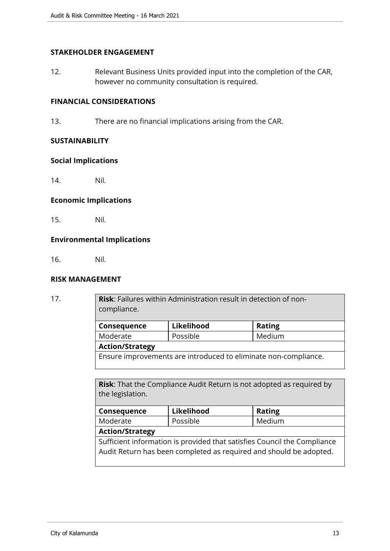#### **STAKEHOLDER ENGAGEMENT**

12. Relevant Business Units provided input into the completion of the CAR, however no community consultation is required.

#### **FINANCIAL CONSIDERATIONS**

13. There are no financial implications arising from the CAR.

#### **SUSTAINABILITY**

#### **Social Implications**

14. Nil.

## **Economic Implications**

15. Nil.

#### **Environmental Implications**

16. Nil.

#### **RISK MANAGEMENT**

| 17. | <b>Risk:</b> Failures within Administration result in detection of non-<br>compliance. |            |               |  |
|-----|----------------------------------------------------------------------------------------|------------|---------------|--|
|     | Consequence                                                                            | Likelihood | <b>Rating</b> |  |
|     | Moderate                                                                               | Possible   | Medium        |  |
|     | <b>Action/Strategy</b>                                                                 |            |               |  |
|     | Ensure improvements are introduced to eliminate non-compliance.                        |            |               |  |

**Risk**: That the Compliance Audit Return is not adopted as required by the legislation.

| Consequence                                                              | Likelihood | <b>Rating</b> |  |
|--------------------------------------------------------------------------|------------|---------------|--|
| Moderate                                                                 | Possible   | Medium        |  |
| <b>Action/Strategy</b>                                                   |            |               |  |
| Sufficient information is provided that satisfies Council the Compliance |            |               |  |
| Audit Return has been completed as required and should be adopted.       |            |               |  |
|                                                                          |            |               |  |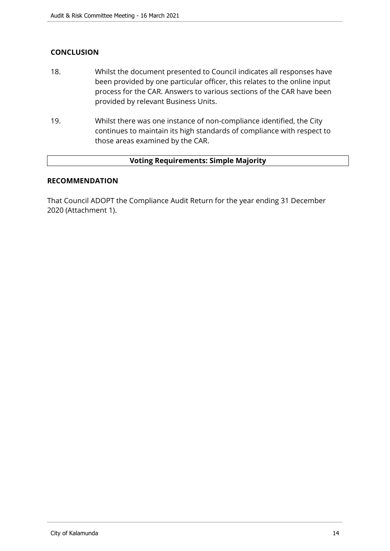## **CONCLUSION**

- 18. Whilst the document presented to Council indicates all responses have been provided by one particular officer, this relates to the online input process for the CAR. Answers to various sections of the CAR have been provided by relevant Business Units.
- 19. Whilst there was one instance of non-compliance identified, the City continues to maintain its high standards of compliance with respect to those areas examined by the CAR.

#### **Voting Requirements: Simple Majority**

#### **RECOMMENDATION**

That Council ADOPT the Compliance Audit Return for the year ending 31 December 2020 (Attachment 1).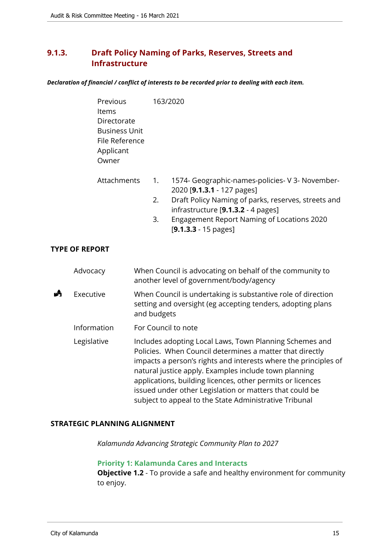## <span id="page-14-0"></span>**9.1.3. Draft Policy Naming of Parks, Reserves, Streets and Infrastructure**

#### *Declaration of financial / conflict of interests to be recorded prior to dealing with each item.*

| <b>Previous</b><br>Items<br>Directorate<br><b>Business Unit</b><br>File Reference<br>Applicant<br>Owner | 163/2020                                                                                                                                                                                                                                                                     |
|---------------------------------------------------------------------------------------------------------|------------------------------------------------------------------------------------------------------------------------------------------------------------------------------------------------------------------------------------------------------------------------------|
| Attachments<br>PORT:                                                                                    | 1574- Geographic-names-policies- V 3- November-<br>1.<br>2020 [ <b>9.1.3.1</b> - 127 pages]<br>Draft Policy Naming of parks, reserves, streets and<br>2.<br>infrastructure [9.1.3.2 - 4 pages]<br>Engagement Report Naming of Locations 2020<br>3.<br>$[9.1.3.3 - 15$ pages] |

## **TYPE OF RE**

| Advocacy    | When Council is advocating on behalf of the community to<br>another level of government/body/agency                                                                                                                                                                                                                                                                                                                                |
|-------------|------------------------------------------------------------------------------------------------------------------------------------------------------------------------------------------------------------------------------------------------------------------------------------------------------------------------------------------------------------------------------------------------------------------------------------|
| Executive   | When Council is undertaking is substantive role of direction<br>setting and oversight (eg accepting tenders, adopting plans<br>and budgets                                                                                                                                                                                                                                                                                         |
| Information | For Council to note                                                                                                                                                                                                                                                                                                                                                                                                                |
| Legislative | Includes adopting Local Laws, Town Planning Schemes and<br>Policies. When Council determines a matter that directly<br>impacts a person's rights and interests where the principles of<br>natural justice apply. Examples include town planning<br>applications, building licences, other permits or licences<br>issued under other Legislation or matters that could be<br>subject to appeal to the State Administrative Tribunal |

#### **STRATEGIC PLANNING ALIGNMENT**

*Kalamunda Advancing Strategic Community Plan to 2027*

## **Priority 1: Kalamunda Cares and Interacts**

**Objective 1.2** - To provide a safe and healthy environment for community to enjoy.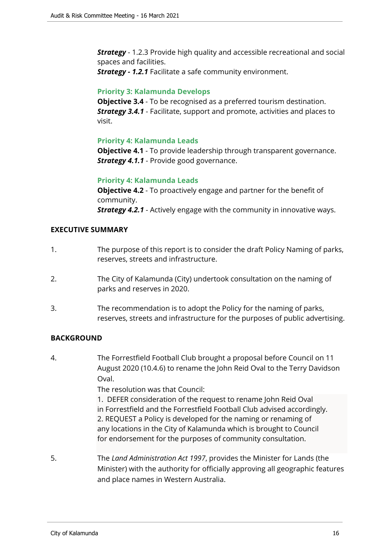**Strategy** - 1.2.3 Provide high quality and accessible recreational and social spaces and facilities.

*Strategy - 1.2.1* Facilitate a safe community environment.

#### **Priority 3: Kalamunda Develops**

**Objective 3.4** - To be recognised as a preferred tourism destination. *Strategy 3.4.1* - Facilitate, support and promote, activities and places to visit.

#### **Priority 4: Kalamunda Leads**

**Objective 4.1** - To provide leadership through transparent governance. *Strategy 4.1.1* - Provide good governance.

#### **Priority 4: Kalamunda Leads**

**Objective 4.2** - To proactively engage and partner for the benefit of community. *Strategy 4.2.1* - Actively engage with the community in innovative ways.

#### **EXECUTIVE SUMMARY**

- 1. The purpose of this report is to consider the draft Policy Naming of parks, reserves, streets and infrastructure.
- 2. The City of Kalamunda (City) undertook consultation on the naming of parks and reserves in 2020.
- 3. The recommendation is to adopt the Policy for the naming of parks, reserves, streets and infrastructure for the purposes of public advertising.

## **BACKGROUND**

4. The Forrestfield Football Club brought a proposal before Council on 11 August 2020 (10.4.6) to rename the John Reid Oval to the Terry Davidson Oval.

The resolution was that Council:

1. DEFER consideration of the request to rename John Reid Oval in Forrestfield and the Forrestfield Football Club advised accordingly. 2. REQUEST a Policy is developed for the naming or renaming of any locations in the City of Kalamunda which is brought to Council for endorsement for the purposes of community consultation.

5. The *Land Administration Act 1997*, provides the Minister for Lands (the Minister) with the authority for officially approving all geographic features and place names in Western Australia.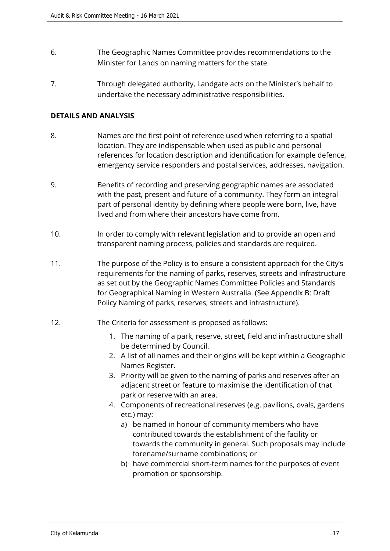- 6. The Geographic Names Committee provides recommendations to the Minister for Lands on naming matters for the state.
- 7. Through delegated authority, Landgate acts on the Minister's behalf to undertake the necessary administrative responsibilities.

## **DETAILS AND ANALYSIS**

- 8. Names are the first point of reference used when referring to a spatial location. They are indispensable when used as public and personal references for location description and identification for example defence, emergency service responders and postal services, addresses, navigation.
- 9. Benefits of recording and preserving geographic names are associated with the past, present and future of a community. They form an integral part of personal identity by defining where people were born, live, have lived and from where their ancestors have come from.
- 10. In order to comply with relevant legislation and to provide an open and transparent naming process, policies and standards are required.
- 11. The purpose of the Policy is to ensure a consistent approach for the City's requirements for the naming of parks, reserves, streets and infrastructure as set out by the Geographic Names Committee Policies and Standards for Geographical Naming in Western Australia. (See Appendix B: Draft Policy Naming of parks, reserves, streets and infrastructure).
- 12. The Criteria for assessment is proposed as follows:
	- 1. The naming of a park, reserve, street, field and infrastructure shall be determined by Council.
	- 2. A list of all names and their origins will be kept within a Geographic Names Register.
	- 3. Priority will be given to the naming of parks and reserves after an adjacent street or feature to maximise the identification of that park or reserve with an area.
	- 4. Components of recreational reserves (e.g. pavilions, ovals, gardens etc.) may:
		- a) be named in honour of community members who have contributed towards the establishment of the facility or towards the community in general. Such proposals may include forename/surname combinations; or
		- b) have commercial short-term names for the purposes of event promotion or sponsorship.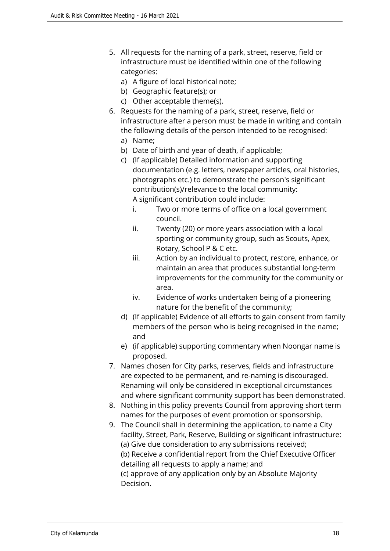- 5. All requests for the naming of a park, street, reserve, field or infrastructure must be identified within one of the following categories:
	- a) A figure of local historical note;
	- b) Geographic feature(s); or
	- c) Other acceptable theme(s).
- 6. Requests for the naming of a park, street, reserve, field or infrastructure after a person must be made in writing and contain the following details of the person intended to be recognised:
	- a) Name;
	- b) Date of birth and year of death, if applicable;
	- c) (If applicable) Detailed information and supporting documentation (e.g. letters, newspaper articles, oral histories, photographs etc.) to demonstrate the person's significant contribution(s)/relevance to the local community: A significant contribution could include:
		- i. Two or more terms of office on a local government council.
		- ii. Twenty (20) or more years association with a local sporting or community group, such as Scouts, Apex, Rotary, School P & C etc.
		- iii. Action by an individual to protect, restore, enhance, or maintain an area that produces substantial long-term improvements for the community for the community or area.
		- iv. Evidence of works undertaken being of a pioneering nature for the benefit of the community;
	- d) (If applicable) Evidence of all efforts to gain consent from family members of the person who is being recognised in the name; and
	- e) (if applicable) supporting commentary when Noongar name is proposed.
- 7. Names chosen for City parks, reserves, fields and infrastructure are expected to be permanent, and re-naming is discouraged. Renaming will only be considered in exceptional circumstances and where significant community support has been demonstrated.
- 8. Nothing in this policy prevents Council from approving short term names for the purposes of event promotion or sponsorship.
- 9. The Council shall in determining the application, to name a City facility, Street, Park, Reserve, Building or significant infrastructure: (a) Give due consideration to any submissions received; (b) Receive a confidential report from the Chief Executive Officer

detailing all requests to apply a name; and (c) approve of any application only by an Absolute Majority Decision.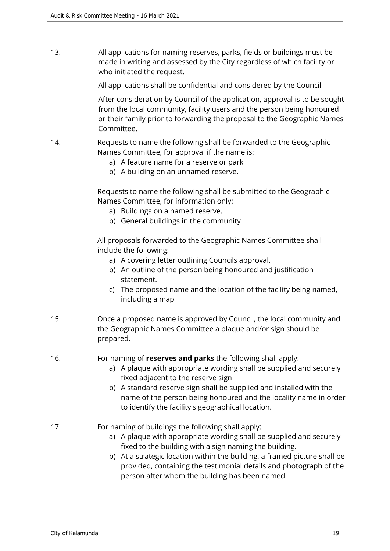13. All applications for naming reserves, parks, fields or buildings must be made in writing and assessed by the City regardless of which facility or who initiated the request.

All applications shall be confidential and considered by the Council

After consideration by Council of the application, approval is to be sought from the local community, facility users and the person being honoured or their family prior to forwarding the proposal to the Geographic Names Committee.

- 14. Requests to name the following shall be forwarded to the Geographic Names Committee, for approval if the name is:
	- a) A feature name for a reserve or park
	- b) A building on an unnamed reserve.

Requests to name the following shall be submitted to the Geographic Names Committee, for information only:

- a) Buildings on a named reserve.
- b) General buildings in the community

All proposals forwarded to the Geographic Names Committee shall include the following:

- a) A covering letter outlining Councils approval.
- b) An outline of the person being honoured and justification statement.
- c) The proposed name and the location of the facility being named, including a map
- 15. Once a proposed name is approved by Council, the local community and the Geographic Names Committee a plaque and/or sign should be prepared.
- 16. For naming of **reserves and parks** the following shall apply:
	- a) A plaque with appropriate wording shall be supplied and securely fixed adjacent to the reserve sign
	- b) A standard reserve sign shall be supplied and installed with the name of the person being honoured and the locality name in order to identify the facility's geographical location.
- 17. For naming of buildings the following shall apply:
	- a) A plaque with appropriate wording shall be supplied and securely fixed to the building with a sign naming the building.
	- b) At a strategic location within the building, a framed picture shall be provided, containing the testimonial details and photograph of the person after whom the building has been named.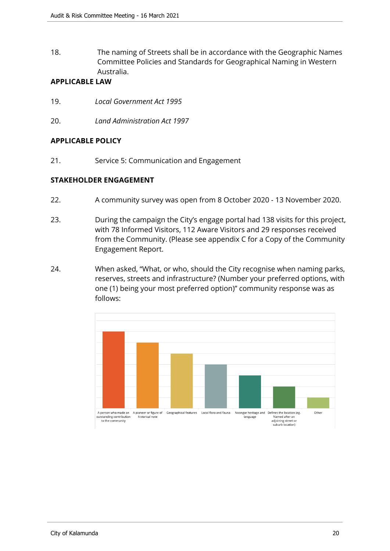18. The naming of Streets shall be in accordance with the Geographic Names Committee Policies and Standards for Geographical Naming in Western Australia.

## **APPLICABLE LAW**

- 19. *Local Government Act 1995*
- 20. *Land Administration Act 1997*

#### **APPLICABLE POLICY**

21. Service 5: Communication and Engagement

#### **STAKEHOLDER ENGAGEMENT**

- 22. A community survey was open from 8 October 2020 13 November 2020.
- 23. During the campaign the City's engage portal had 138 visits for this project, with 78 Informed Visitors, 112 Aware Visitors and 29 responses received from the Community. (Please see appendix C for a Copy of the Community Engagement Report.
- 24. When asked, "What, or who, should the City recognise when naming parks, reserves, streets and infrastructure? (Number your preferred options, with one (1) being your most preferred option)" community response was as follows:

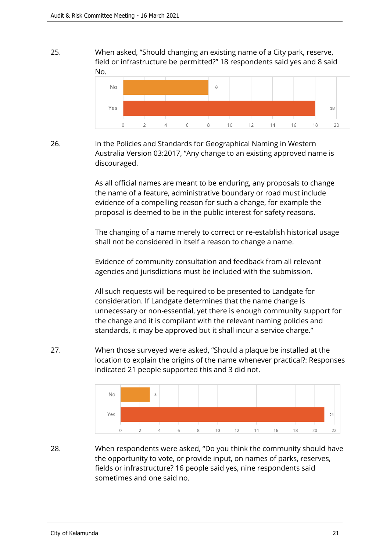25. When asked, "Should changing an existing name of a City park, reserve, field or infrastructure be permitted?" 18 respondents said yes and 8 said No.



26. In the Policies and Standards for Geographical Naming in Western Australia Version 03:2017, "Any change to an existing approved name is discouraged.

> As all official names are meant to be enduring, any proposals to change the name of a feature, administrative boundary or road must include evidence of a compelling reason for such a change, for example the proposal is deemed to be in the public interest for safety reasons.

The changing of a name merely to correct or re-establish historical usage shall not be considered in itself a reason to change a name.

Evidence of community consultation and feedback from all relevant agencies and jurisdictions must be included with the submission.

All such requests will be required to be presented to Landgate for consideration. If Landgate determines that the name change is unnecessary or non-essential, yet there is enough community support for the change and it is compliant with the relevant naming policies and standards, it may be approved but it shall incur a service charge."

27. When those surveyed were asked, "Should a plaque be installed at the location to explain the origins of the name whenever practical?: Responses indicated 21 people supported this and 3 did not.



28. When respondents were asked, "Do you think the community should have the opportunity to vote, or provide input, on names of parks, reserves, fields or infrastructure? 16 people said yes, nine respondents said sometimes and one said no.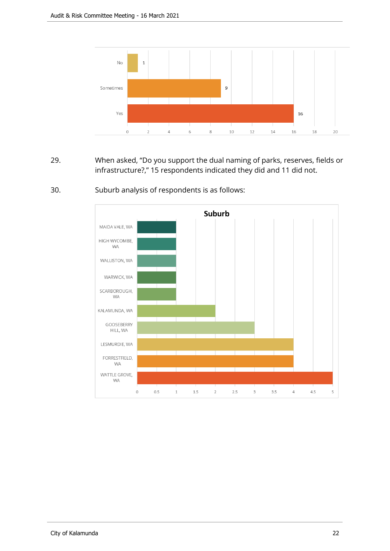

29. When asked, "Do you support the dual naming of parks, reserves, fields or infrastructure?," 15 respondents indicated they did and 11 did not.



30. Suburb analysis of respondents is as follows: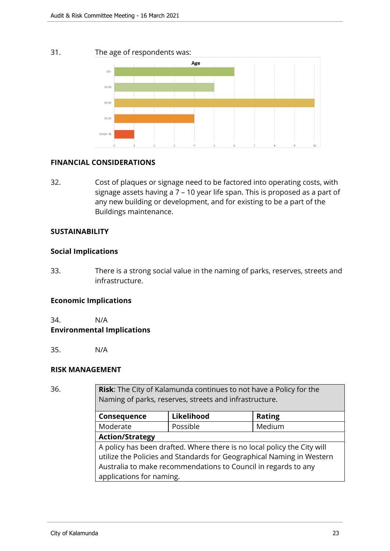31. The age of respondents was:



## **FINANCIAL CONSIDERATIONS**

32. Cost of plaques or signage need to be factored into operating costs, with signage assets having a 7 – 10 year life span. This is proposed as a part of any new building or development, and for existing to be a part of the Buildings maintenance.

#### **SUSTAINABILITY**

#### **Social Implications**

33. There is a strong social value in the naming of parks, reserves, streets and infrastructure.

#### **Economic Implications**

## 34. N/A **Environmental Implications**

35. N/A

## **RISK MANAGEMENT**

| 36. |                                                                                                                                                                                                                                                | <b>Risk:</b> The City of Kalamunda continues to not have a Policy for the<br>Naming of parks, reserves, streets and infrastructure. |               |  |
|-----|------------------------------------------------------------------------------------------------------------------------------------------------------------------------------------------------------------------------------------------------|-------------------------------------------------------------------------------------------------------------------------------------|---------------|--|
|     | Consequence                                                                                                                                                                                                                                    | Likelihood                                                                                                                          | <b>Rating</b> |  |
|     | Moderate                                                                                                                                                                                                                                       | Possible                                                                                                                            | Medium        |  |
|     | <b>Action/Strategy</b>                                                                                                                                                                                                                         |                                                                                                                                     |               |  |
|     | A policy has been drafted. Where there is no local policy the City will<br>utilize the Policies and Standards for Geographical Naming in Western<br>Australia to make recommendations to Council in regards to any<br>applications for naming. |                                                                                                                                     |               |  |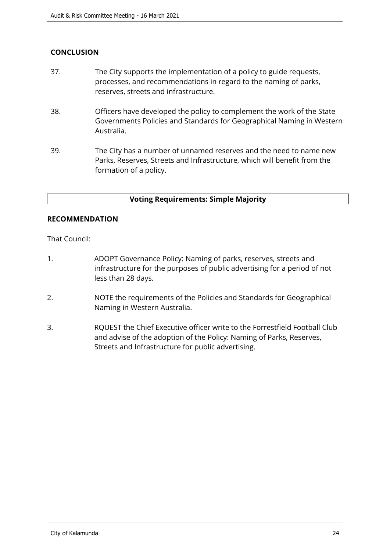## **CONCLUSION**

- 37. The City supports the implementation of a policy to guide requests, processes, and recommendations in regard to the naming of parks, reserves, streets and infrastructure.
- 38. Officers have developed the policy to complement the work of the State Governments Policies and Standards for Geographical Naming in Western Australia.
- 39. The City has a number of unnamed reserves and the need to name new Parks, Reserves, Streets and Infrastructure, which will benefit from the formation of a policy.

#### **Voting Requirements: Simple Majority**

#### **RECOMMENDATION**

That Council:

- 1. ADOPT Governance Policy: Naming of parks, reserves, streets and infrastructure for the purposes of public advertising for a period of not less than 28 days.
- 2. NOTE the requirements of the Policies and Standards for Geographical Naming in Western Australia.
- 3. RQUEST the Chief Executive officer write to the Forrestfield Football Club and advise of the adoption of the Policy: Naming of Parks, Reserves, Streets and Infrastructure for public advertising.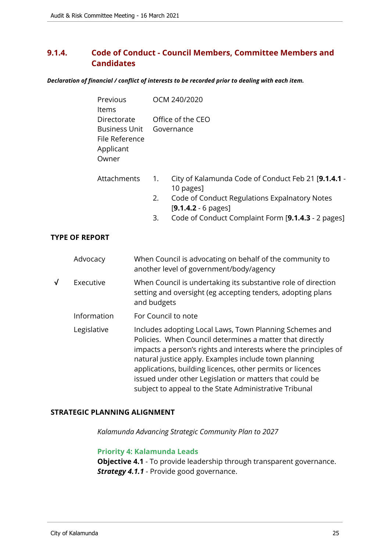## <span id="page-24-0"></span>**9.1.4. Code of Conduct - Council Members, Committee Members and Candidates**

*Declaration of financial / conflict of interests to be recorded prior to dealing with each item.*

|   | Previous<br>Items                                                           | OCM 240/2020                                                                                                                                                                                                                                    |
|---|-----------------------------------------------------------------------------|-------------------------------------------------------------------------------------------------------------------------------------------------------------------------------------------------------------------------------------------------|
|   | Directorate<br><b>Business Unit</b><br>File Reference<br>Applicant<br>Owner | Office of the CEO<br>Governance                                                                                                                                                                                                                 |
|   | Attachments                                                                 | City of Kalamunda Code of Conduct Feb 21 [9.1.4.1 -<br>1.<br>10 pages]<br>Code of Conduct Regulations Expalnatory Notes<br>2.                                                                                                                   |
|   |                                                                             | $[9.1.4.2 - 6$ pages]<br>Code of Conduct Complaint Form [9.1.4.3 - 2 pages]<br>3.                                                                                                                                                               |
|   | <b>TYPE OF REPORT</b>                                                       |                                                                                                                                                                                                                                                 |
|   | Advocacy                                                                    | When Council is advocating on behalf of the community to<br>another level of government/body/agency                                                                                                                                             |
| √ | Executive                                                                   | When Council is undertaking its substantive role of direction<br>setting and oversight (eg accepting tenders, adopting plans<br>and budgets                                                                                                     |
|   | Information                                                                 | For Council to note                                                                                                                                                                                                                             |
|   | Legislative                                                                 | Includes adopting Local Laws, Town Planning Schemes and<br>Policies. When Council determines a matter that directly<br>impacts a person's rights and interests where the principles of<br>natural justice apply. Examples include town planning |

applications, building licences, other permits or licences issued under other Legislation or matters that could be subject to appeal to the State Administrative Tribunal

#### **STRATEGIC PLANNING ALIGNMENT**

*Kalamunda Advancing Strategic Community Plan to 2027*

#### **Priority 4: Kalamunda Leads**

**Objective 4.1** - To provide leadership through transparent governance. *Strategy 4.1.1* - Provide good governance.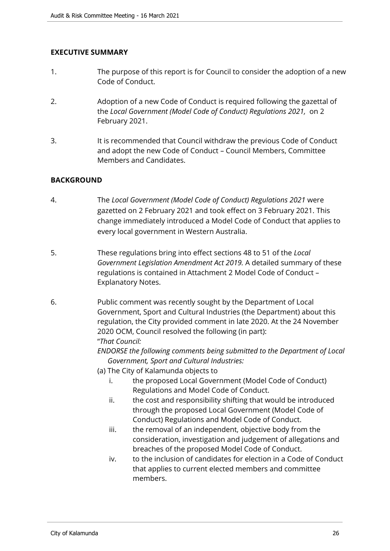## **EXECUTIVE SUMMARY**

- 1. The purpose of this report is for Council to consider the adoption of a new Code of Conduct.
- 2. Adoption of a new Code of Conduct is required following the gazettal of the *Local Government (Model Code of Conduct) Regulations 2021,* on 2 February 2021.
- 3. It is recommended that Council withdraw the previous Code of Conduct and adopt the new Code of Conduct – Council Members, Committee Members and Candidates.

## **BACKGROUND**

- 4. The *Local Government (Model Code of Conduct) Regulations 2021* were gazetted on 2 February 2021 and took effect on 3 February 2021. This change immediately introduced a Model Code of Conduct that applies to every local government in Western Australia.
- 5. These regulations bring into effect sections 48 to 51 of the *Local Government Legislation Amendment Act 2019.* A detailed summary of these regulations is contained in Attachment 2 Model Code of Conduct – Explanatory Notes.
- 6. Public comment was recently sought by the Department of Local Government, Sport and Cultural Industries (the Department) about this regulation, the City provided comment in late 2020. At the 24 November 2020 OCM, Council resolved the following (in part): "*That Council:*

*ENDORSE the following comments being submitted to the Department of Local Government, Sport and Cultural Industries:*

- (a) The City of Kalamunda objects to
	- i. the proposed Local Government (Model Code of Conduct) Regulations and Model Code of Conduct.
	- ii. the cost and responsibility shifting that would be introduced through the proposed Local Government (Model Code of Conduct) Regulations and Model Code of Conduct.
	- iii. the removal of an independent, objective body from the consideration, investigation and judgement of allegations and breaches of the proposed Model Code of Conduct.
	- iv. to the inclusion of candidates for election in a Code of Conduct that applies to current elected members and committee members.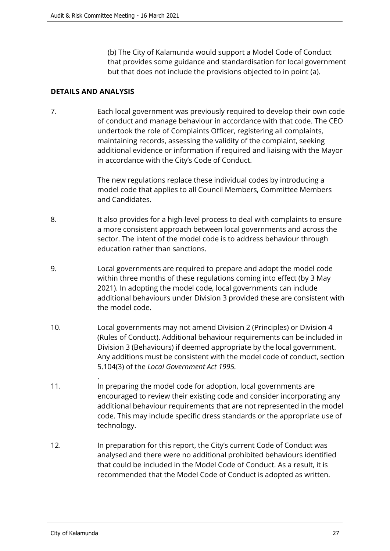(b) The City of Kalamunda would support a Model Code of Conduct that provides some guidance and standardisation for local government but that does not include the provisions objected to in point (a).

#### **DETAILS AND ANALYSIS**

7. Each local government was previously required to develop their own code of conduct and manage behaviour in accordance with that code. The CEO undertook the role of Complaints Officer, registering all complaints, maintaining records, assessing the validity of the complaint, seeking additional evidence or information if required and liaising with the Mayor in accordance with the City's Code of Conduct.

> The new regulations replace these individual codes by introducing a model code that applies to all Council Members, Committee Members and Candidates.

- 8. It also provides for a high-level process to deal with complaints to ensure a more consistent approach between local governments and across the sector. The intent of the model code is to address behaviour through education rather than sanctions.
- 9. Local governments are required to prepare and adopt the model code within three months of these regulations coming into effect (by 3 May 2021). In adopting the model code, local governments can include additional behaviours under Division 3 provided these are consistent with the model code.
- 10. Local governments may not amend Division 2 (Principles) or Division 4 (Rules of Conduct). Additional behaviour requirements can be included in Division 3 (Behaviours) if deemed appropriate by the local government. Any additions must be consistent with the model code of conduct, section 5.104(3) of the *Local Government Act 1995.*
- 11. In preparing the model code for adoption, local governments are encouraged to review their existing code and consider incorporating any additional behaviour requirements that are not represented in the model code. This may include specific dress standards or the appropriate use of technology.
- 12. In preparation for this report, the City's current Code of Conduct was analysed and there were no additional prohibited behaviours identified that could be included in the Model Code of Conduct. As a result, it is recommended that the Model Code of Conduct is adopted as written.

.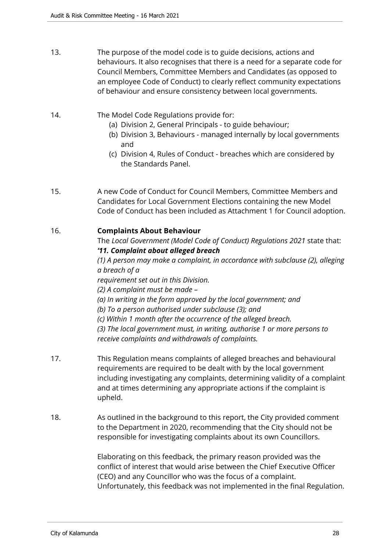- 13. The purpose of the model code is to guide decisions, actions and behaviours. It also recognises that there is a need for a separate code for Council Members, Committee Members and Candidates (as opposed to an employee Code of Conduct) to clearly reflect community expectations of behaviour and ensure consistency between local governments.
- 14. The Model Code Regulations provide for:
	- (a) Division 2, General Principals to guide behaviour;
	- (b) Division 3, Behaviours managed internally by local governments and
	- (c) Division 4, Rules of Conduct breaches which are considered by the Standards Panel.
- 15. A new Code of Conduct for Council Members, Committee Members and Candidates for Local Government Elections containing the new Model Code of Conduct has been included as Attachment 1 for Council adoption.

## 16. **Complaints About Behaviour**

The *Local Government (Model Code of Conduct) Regulations 2021* state that: *'11. Complaint about alleged breach* 

*(1) A person may make a complaint, in accordance with subclause (2), alleging a breach of a* 

*requirement set out in this Division.* 

*(2) A complaint must be made –* 

*(a) In writing in the form approved by the local government; and* 

*(b) To a person authorised under subclause (3); and* 

*(c) Within 1 month after the occurrence of the alleged breach.* 

*(3) The local government must, in writing, authorise 1 or more persons to receive complaints and withdrawals of complaints.*

- 17. This Regulation means complaints of alleged breaches and behavioural requirements are required to be dealt with by the local government including investigating any complaints, determining validity of a complaint and at times determining any appropriate actions if the complaint is upheld.
- 18. As outlined in the background to this report, the City provided comment to the Department in 2020, recommending that the City should not be responsible for investigating complaints about its own Councillors.

Elaborating on this feedback, the primary reason provided was the conflict of interest that would arise between the Chief Executive Officer (CEO) and any Councillor who was the focus of a complaint. Unfortunately, this feedback was not implemented in the final Regulation.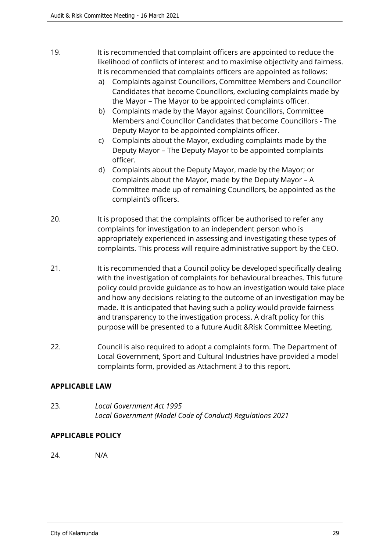- 19. It is recommended that complaint officers are appointed to reduce the likelihood of conflicts of interest and to maximise objectivity and fairness. It is recommended that complaints officers are appointed as follows:
	- a) Complaints against Councillors, Committee Members and Councillor Candidates that become Councillors, excluding complaints made by the Mayor – The Mayor to be appointed complaints officer.
	- b) Complaints made by the Mayor against Councillors, Committee Members and Councillor Candidates that become Councillors - The Deputy Mayor to be appointed complaints officer.
	- c) Complaints about the Mayor, excluding complaints made by the Deputy Mayor – The Deputy Mayor to be appointed complaints officer.
	- d) Complaints about the Deputy Mayor, made by the Mayor; or complaints about the Mayor, made by the Deputy Mayor – A Committee made up of remaining Councillors, be appointed as the complaint's officers.
- 20. It is proposed that the complaints officer be authorised to refer any complaints for investigation to an independent person who is appropriately experienced in assessing and investigating these types of complaints. This process will require administrative support by the CEO.
- 21. It is recommended that a Council policy be developed specifically dealing with the investigation of complaints for behavioural breaches. This future policy could provide guidance as to how an investigation would take place and how any decisions relating to the outcome of an investigation may be made. It is anticipated that having such a policy would provide fairness and transparency to the investigation process. A draft policy for this purpose will be presented to a future Audit &Risk Committee Meeting.
- 22. Council is also required to adopt a complaints form. The Department of Local Government, Sport and Cultural Industries have provided a model complaints form, provided as Attachment 3 to this report.

## **APPLICABLE LAW**

23. *Local Government Act 1995 Local Government (Model Code of Conduct) Regulations 2021*

## **APPLICABLE POLICY**

24. N/A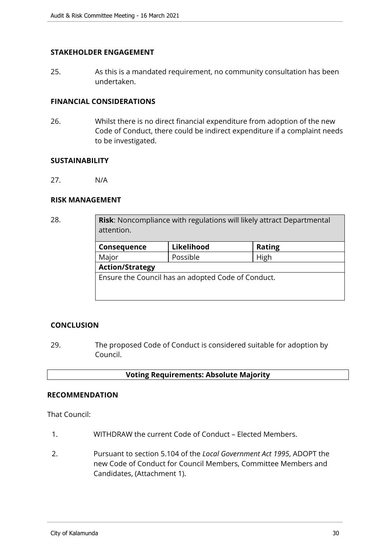#### **STAKEHOLDER ENGAGEMENT**

25. As this is a mandated requirement, no community consultation has been undertaken.

#### **FINANCIAL CONSIDERATIONS**

26. Whilst there is no direct financial expenditure from adoption of the new Code of Conduct, there could be indirect expenditure if a complaint needs to be investigated.

#### **SUSTAINABILITY**

27. N/A

## **RISK MANAGEMENT**

| 28. | <b>Risk:</b> Noncompliance with regulations will likely attract Departmental<br>attention. |            |               |  |
|-----|--------------------------------------------------------------------------------------------|------------|---------------|--|
|     | Consequence                                                                                | Likelihood | <b>Rating</b> |  |
|     | Major                                                                                      | Possible   | High          |  |
|     | <b>Action/Strategy</b>                                                                     |            |               |  |
|     | Ensure the Council has an adopted Code of Conduct.                                         |            |               |  |
|     |                                                                                            |            |               |  |
|     |                                                                                            |            |               |  |

## **CONCLUSION**

29. The proposed Code of Conduct is considered suitable for adoption by Council.

#### **Voting Requirements: Absolute Majority**

#### **RECOMMENDATION**

That Council:

- 1. WITHDRAW the current Code of Conduct Elected Members.
- 2. Pursuant to section 5.104 of the *Local Government Act 1995*, ADOPT the new Code of Conduct for Council Members, Committee Members and Candidates, (Attachment 1).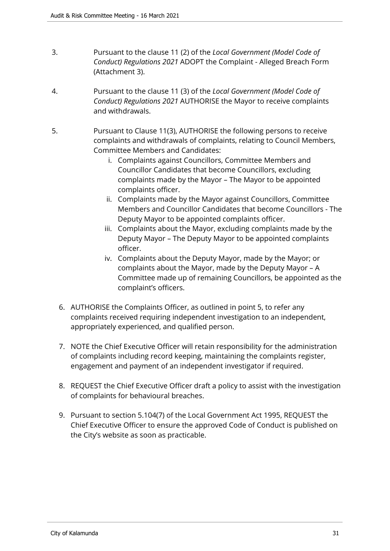- 3. Pursuant to the clause 11 (2) of the *Local Government (Model Code of Conduct) Regulations 2021* ADOPT the Complaint - Alleged Breach Form (Attachment 3).
- 4. Pursuant to the clause 11 (3) of the *Local Government (Model Code of Conduct) Regulations 2021* AUTHORISE the Mayor to receive complaints and withdrawals.
- 5. Pursuant to Clause 11(3), AUTHORISE the following persons to receive complaints and withdrawals of complaints, relating to Council Members, Committee Members and Candidates:
	- i. Complaints against Councillors, Committee Members and Councillor Candidates that become Councillors, excluding complaints made by the Mayor – The Mayor to be appointed complaints officer.
	- ii. Complaints made by the Mayor against Councillors, Committee Members and Councillor Candidates that become Councillors - The Deputy Mayor to be appointed complaints officer.
	- iii. Complaints about the Mayor, excluding complaints made by the Deputy Mayor – The Deputy Mayor to be appointed complaints officer.
	- iv. Complaints about the Deputy Mayor, made by the Mayor; or complaints about the Mayor, made by the Deputy Mayor – A Committee made up of remaining Councillors, be appointed as the complaint's officers.
	- 6. AUTHORISE the Complaints Officer, as outlined in point 5, to refer any complaints received requiring independent investigation to an independent, appropriately experienced, and qualified person.
	- 7. NOTE the Chief Executive Officer will retain responsibility for the administration of complaints including record keeping, maintaining the complaints register, engagement and payment of an independent investigator if required.
	- 8. REQUEST the Chief Executive Officer draft a policy to assist with the investigation of complaints for behavioural breaches.
	- 9. Pursuant to section 5.104(7) of the Local Government Act 1995, REQUEST the Chief Executive Officer to ensure the approved Code of Conduct is published on the City's website as soon as practicable.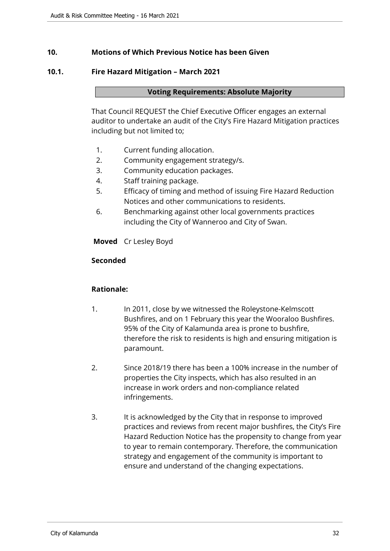#### <span id="page-31-0"></span>**10. Motions of Which Previous Notice has been Given**

#### <span id="page-31-1"></span>**10.1. Fire Hazard Mitigation – March 2021**

**Voting Requirements: Absolute Majority**

That Council REQUEST the Chief Executive Officer engages an external auditor to undertake an audit of the City's Fire Hazard Mitigation practices including but not limited to;

- 1. Current funding allocation.
- 2. Community engagement strategy/s.
- 3. Community education packages.
- 4. Staff training package.
- 5. Efficacy of timing and method of issuing Fire Hazard Reduction Notices and other communications to residents.
- 6. Benchmarking against other local governments practices including the City of Wanneroo and City of Swan.

**Moved** Cr Lesley Boyd

#### **Seconded**

## **Rationale:**

- 1. In 2011, close by we witnessed the Roleystone-Kelmscott Bushfires, and on 1 February this year the Wooraloo Bushfires. 95% of the City of Kalamunda area is prone to bushfire, therefore the risk to residents is high and ensuring mitigation is paramount.
- 2. Since 2018/19 there has been a 100% increase in the number of properties the City inspects, which has also resulted in an increase in work orders and non-compliance related infringements.
- 3. It is acknowledged by the City that in response to improved practices and reviews from recent major bushfires, the City's Fire Hazard Reduction Notice has the propensity to change from year to year to remain contemporary. Therefore, the communication strategy and engagement of the community is important to ensure and understand of the changing expectations.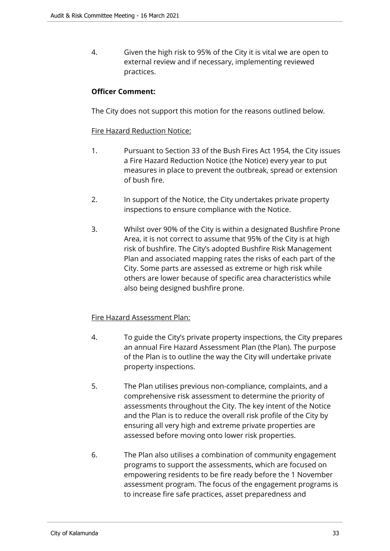4. Given the high risk to 95% of the City it is vital we are open to external review and if necessary, implementing reviewed practices.

#### **Officer Comment:**

The City does not support this motion for the reasons outlined below.

#### Fire Hazard Reduction Notice:

- 1. Pursuant to Section 33 of the Bush Fires Act 1954, the City issues a Fire Hazard Reduction Notice (the Notice) every year to put measures in place to prevent the outbreak, spread or extension of bush fire.
- 2. In support of the Notice, the City undertakes private property inspections to ensure compliance with the Notice.
- 3. Whilst over 90% of the City is within a designated Bushfire Prone Area, it is not correct to assume that 95% of the City is at high risk of bushfire. The City's adopted Bushfire Risk Management Plan and associated mapping rates the risks of each part of the City. Some parts are assessed as extreme or high risk while others are lower because of specific area characteristics while also being designed bushfire prone.

## Fire Hazard Assessment Plan:

- 4. To guide the City's private property inspections, the City prepares an annual Fire Hazard Assessment Plan (the Plan). The purpose of the Plan is to outline the way the City will undertake private property inspections.
- 5. The Plan utilises previous non-compliance, complaints, and a comprehensive risk assessment to determine the priority of assessments throughout the City. The key intent of the Notice and the Plan is to reduce the overall risk profile of the City by ensuring all very high and extreme private properties are assessed before moving onto lower risk properties.
- 6. The Plan also utilises a combination of community engagement programs to support the assessments, which are focused on empowering residents to be fire ready before the 1 November assessment program. The focus of the engagement programs is to increase fire safe practices, asset preparedness and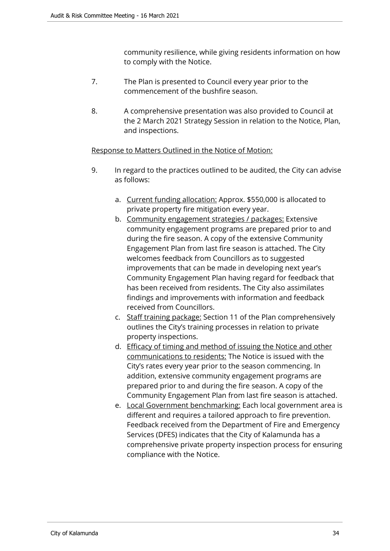community resilience, while giving residents information on how to comply with the Notice.

- 7. The Plan is presented to Council every year prior to the commencement of the bushfire season.
- 8. A comprehensive presentation was also provided to Council at the 2 March 2021 Strategy Session in relation to the Notice, Plan, and inspections.

#### Response to Matters Outlined in the Notice of Motion:

- 9. In regard to the practices outlined to be audited, the City can advise as follows:
	- a. Current funding allocation: Approx. \$550,000 is allocated to private property fire mitigation every year.
	- b. Community engagement strategies / packages: Extensive community engagement programs are prepared prior to and during the fire season. A copy of the extensive Community Engagement Plan from last fire season is attached. The City welcomes feedback from Councillors as to suggested improvements that can be made in developing next year's Community Engagement Plan having regard for feedback that has been received from residents. The City also assimilates findings and improvements with information and feedback received from Councillors.
	- c. Staff training package: Section 11 of the Plan comprehensively outlines the City's training processes in relation to private property inspections.
	- d. Efficacy of timing and method of issuing the Notice and other communications to residents: The Notice is issued with the City's rates every year prior to the season commencing. In addition, extensive community engagement programs are prepared prior to and during the fire season. A copy of the Community Engagement Plan from last fire season is attached.
	- e. Local Government benchmarking: Each local government area is different and requires a tailored approach to fire prevention. Feedback received from the Department of Fire and Emergency Services (DFES) indicates that the City of Kalamunda has a comprehensive private property inspection process for ensuring compliance with the Notice.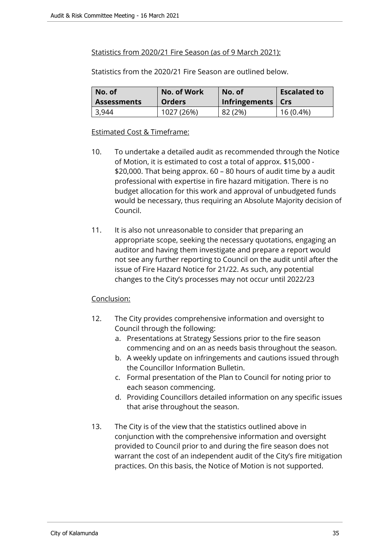#### Statistics from 2020/21 Fire Season (as of 9 March 2021):

Statistics from the 2020/21 Fire Season are outlined below.

| No. of             | No. of Work   | No. of                    | <b>Escalated to</b> |
|--------------------|---------------|---------------------------|---------------------|
| <b>Assessments</b> | <b>Orders</b> | Infringements $\vert$ Crs |                     |
| 3,944              | 1027 (26%)    | 82 (2%)                   | 16 (0.4%)           |

#### Estimated Cost & Timeframe:

- 10. To undertake a detailed audit as recommended through the Notice of Motion, it is estimated to cost a total of approx. \$15,000 - \$20,000. That being approx. 60 – 80 hours of audit time by a audit professional with expertise in fire hazard mitigation. There is no budget allocation for this work and approval of unbudgeted funds would be necessary, thus requiring an Absolute Majority decision of Council.
- 11. It is also not unreasonable to consider that preparing an appropriate scope, seeking the necessary quotations, engaging an auditor and having them investigate and prepare a report would not see any further reporting to Council on the audit until after the issue of Fire Hazard Notice for 21/22. As such, any potential changes to the City's processes may not occur until 2022/23

## Conclusion:

- 12. The City provides comprehensive information and oversight to Council through the following:
	- a. Presentations at Strategy Sessions prior to the fire season commencing and on an as needs basis throughout the season.
	- b. A weekly update on infringements and cautions issued through the Councillor Information Bulletin.
	- c. Formal presentation of the Plan to Council for noting prior to each season commencing.
	- d. Providing Councillors detailed information on any specific issues that arise throughout the season.
- 13. The City is of the view that the statistics outlined above in conjunction with the comprehensive information and oversight provided to Council prior to and during the fire season does not warrant the cost of an independent audit of the City's fire mitigation practices. On this basis, the Notice of Motion is not supported.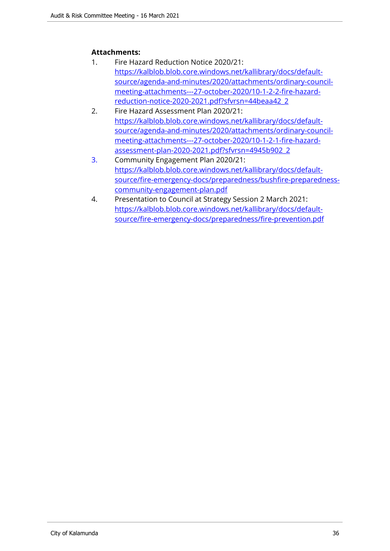## **Attachments:**

- 1. Fire Hazard Reduction Notice 2020/21: [https://kalblob.blob.core.windows.net/kallibrary/docs/default](https://kalblob.blob.core.windows.net/kallibrary/docs/default-source/agenda-and-minutes/2020/attachments/ordinary-council-meeting-attachments---27-october-2020/10-1-2-2-fire-hazard-reduction-notice-2020-2021.pdf?sfvrsn=44beaa42_2)[source/agenda-and-minutes/2020/attachments/ordinary-council](https://kalblob.blob.core.windows.net/kallibrary/docs/default-source/agenda-and-minutes/2020/attachments/ordinary-council-meeting-attachments---27-october-2020/10-1-2-2-fire-hazard-reduction-notice-2020-2021.pdf?sfvrsn=44beaa42_2)[meeting-attachments---27-october-2020/10-1-2-2-fire-hazard](https://kalblob.blob.core.windows.net/kallibrary/docs/default-source/agenda-and-minutes/2020/attachments/ordinary-council-meeting-attachments---27-october-2020/10-1-2-2-fire-hazard-reduction-notice-2020-2021.pdf?sfvrsn=44beaa42_2)[reduction-notice-2020-2021.pdf?sfvrsn=44beaa42\\_2](https://kalblob.blob.core.windows.net/kallibrary/docs/default-source/agenda-and-minutes/2020/attachments/ordinary-council-meeting-attachments---27-october-2020/10-1-2-2-fire-hazard-reduction-notice-2020-2021.pdf?sfvrsn=44beaa42_2)
- 2. Fire Hazard Assessment Plan 2020/21: [https://kalblob.blob.core.windows.net/kallibrary/docs/default](https://kalblob.blob.core.windows.net/kallibrary/docs/default-source/agenda-and-minutes/2020/attachments/ordinary-council-meeting-attachments---27-october-2020/10-1-2-1-fire-hazard-assessment-plan-2020-2021.pdf?sfvrsn=4945b902_2)[source/agenda-and-minutes/2020/attachments/ordinary-council](https://kalblob.blob.core.windows.net/kallibrary/docs/default-source/agenda-and-minutes/2020/attachments/ordinary-council-meeting-attachments---27-october-2020/10-1-2-1-fire-hazard-assessment-plan-2020-2021.pdf?sfvrsn=4945b902_2)[meeting-attachments---27-october-2020/10-1-2-1-fire-hazard](https://kalblob.blob.core.windows.net/kallibrary/docs/default-source/agenda-and-minutes/2020/attachments/ordinary-council-meeting-attachments---27-october-2020/10-1-2-1-fire-hazard-assessment-plan-2020-2021.pdf?sfvrsn=4945b902_2)[assessment-plan-2020-2021.pdf?sfvrsn=4945b902\\_2](https://kalblob.blob.core.windows.net/kallibrary/docs/default-source/agenda-and-minutes/2020/attachments/ordinary-council-meeting-attachments---27-october-2020/10-1-2-1-fire-hazard-assessment-plan-2020-2021.pdf?sfvrsn=4945b902_2)
- 3. Community Engagement Plan 2020/21: [https://kalblob.blob.core.windows.net/kallibrary/docs/default](https://kalblob.blob.core.windows.net/kallibrary/docs/default-source/fire-emergency-docs/preparedness/bushfire-preparedness-community-engagement-plan.pdf)[source/fire-emergency-docs/preparedness/bushfire-preparedness](https://kalblob.blob.core.windows.net/kallibrary/docs/default-source/fire-emergency-docs/preparedness/bushfire-preparedness-community-engagement-plan.pdf)[community-engagement-plan.pdf](https://kalblob.blob.core.windows.net/kallibrary/docs/default-source/fire-emergency-docs/preparedness/bushfire-preparedness-community-engagement-plan.pdf)
- 4. Presentation to Council at Strategy Session 2 March 2021: [https://kalblob.blob.core.windows.net/kallibrary/docs/default](https://kalblob.blob.core.windows.net/kallibrary/docs/default-source/fire-emergency-docs/preparedness/fire-prevention.pdf)[source/fire-emergency-docs/preparedness/fire-prevention.pdf](https://kalblob.blob.core.windows.net/kallibrary/docs/default-source/fire-emergency-docs/preparedness/fire-prevention.pdf)